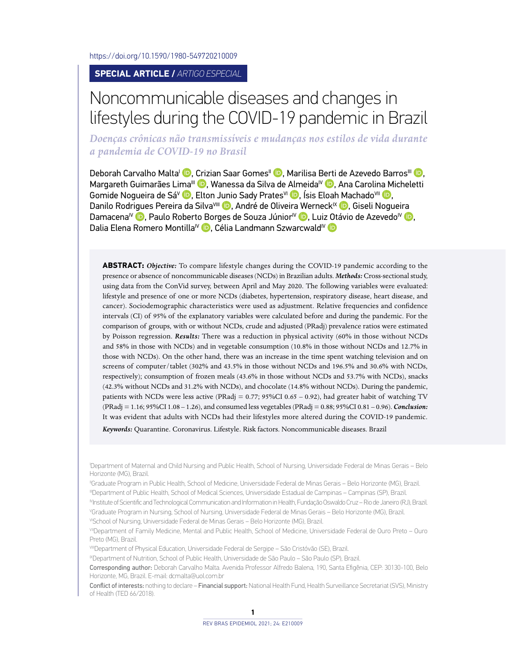<https://doi.org/10.1590/1980-549720210009>

**SPECIAL ARTICLE /** *ARTIGO ESPECIAL*

# Noncommunicable diseases and changes in lifestyles during the COVID-19 pandemic in Brazil

*Doenças crônicas não transmissíveis e mudanças nos estilos de vida durante a pandemia de COVID-19 no Brasil*

Deborah Carvalho Malta<sup>i (D</sup>. Crizian Saar Gomes<sup>ii (D</sup>. Marilisa Berti de Azevedo Barros<sup>iii (D</sup>. Margareth Guimarães Lima<sup>ili</sup> (D. Wanessa da Silva de Almeida<sup>iv</sup> (D. Ana Carolina Micheletti Gomide Nogueira de Sá<sup>v</sup> D[,](https://orcid.org/0000-0002-4678-2074) Elton Junio Sady Prates<sup>VI</sup> D, Ísis Eloah Machado<sup>VII</sup> D, Danilo Rodrigues Pereira da Silva<sup>vIII</sup> (D. André de Oliveir[a We](https://orcid.org/0000-0002-8142-4790)rneck<sup>IX</sup> (D. Giseli Nogueira Damacena<sup>IV</sup> **D**[,](https://orcid.org/0000-0002-4876-5948) Paulo Roberto Borges de Souza Júnior<sup>IV</sup> <sup>D</sup>, Lui[z Otá](https://orcid.org/0000-0002-7798-2095)vio de Azevedo<sup>IV</sup> D, Dalia Elena Romero Montilla<sup>IV</sup> D[,](https://orcid.org/0000-0002-2643-9797) Célia Landmann Szwarcwald<sup>IV</sup> D

**ABSTRACT:** *Objective:* To compare lifestyle changes during the COVID-19 pandemic according to the presence or absence of noncommunicable diseases (NCDs) in Brazilian adults. *Methods:* Cross-sectional study, using data from the ConVid survey, between April and May 2020. The following variables were evaluated: lifestyle and presence of one or more NCDs (diabetes, hypertension, respiratory disease, heart disease, and cancer). Sociodemographic characteristics were used as adjustment. Relative frequencies and confidence intervals (CI) of 95% of the explanatory variables were calculated before and during the pandemic. For the comparison of groups, with or without NCDs, crude and adjusted (PRadj) prevalence ratios were estimated by Poisson regression. *Results:* There was a reduction in physical activity (60% in those without NCDs and 58% in those with NCDs) and in vegetable consumption (10.8% in those without NCDs and 12.7% in those with NCDs). On the other hand, there was an increase in the time spent watching television and on screens of computer/tablet (302% and 43.5% in those without NCDs and 196.5% and 30.6% with NCDs, respectively); consumption of frozen meals (43.6% in those without NCDs and 53.7% with NCDs), snacks (42.3% without NCDs and 31.2% with NCDs), and chocolate (14.8% without NCDs). During the pandemic, patients with NCDs were less active (PRadj = 0.77; 95%CI 0.65 – 0.92), had greater habit of watching TV (PRadj = 1.16; 95%CI 1.08 – 1.26), and consumed less vegetables (PRadj = 0.88; 95%CI 0.81 – 0.96). *Conclusion:* It was evident that adults with NCDs had their lifestyles more altered during the COVID-19 pandemic.

*Keywords:* Quarantine. Coronavirus. Lifestyle. Risk factors. Noncommunicable diseases. Brazil

I Department of Maternal and Child Nursing and Public Health, School of Nursing, Universidade Federal de Minas Gerais – Belo Horizonte (MG), Brazil.

IIGraduate Program in Public Health, School of Medicine, Universidade Federal de Minas Gerais – Belo Horizonte (MG), Brazil. IIIDepartment of Public Health, School of Medical Sciences, Universidade Estadual de Campinas – Campinas (SP), Brazil.

IVInstitute of Scientific and Technological Communication and Information in Health, Fundação Oswaldo Cruz – Rio de Janeiro (RJ), Brazil.

V Graduate Program in Nursing, School of Nursing, Universidade Federal de Minas Gerais – Belo Horizonte (MG), Brazil. VISchool of Nursing, Universidade Federal de Minas Gerais – Belo Horizonte (MG), Brazil.

VIIDepartment of Family Medicine, Mental and Public Health, School of Medicine, Universidade Federal de Ouro Preto - Ouro Preto (MG), Brazil.

VIIIDepartment of Physical Education, Universidade Federal de Sergipe – São Cristóvão (SE), Brazil.

IXDepartment of Nutrition, School of Public Health, Universidade de São Paulo – São Paulo (SP), Brazil.

Corresponding author: Deborah Carvalho Malta. Avenida Professor Alfredo Balena, 190, Santa Efigênia, CEP: 30130-100, Belo Horizonte, MG, Brazil. E-mail: dcmalta@uol.com.br

Conflict of interests: nothing to declare – Financial support: National Health Fund, Health Surveillance Secretariat (SVS), Ministry of Health (TED 66/2018).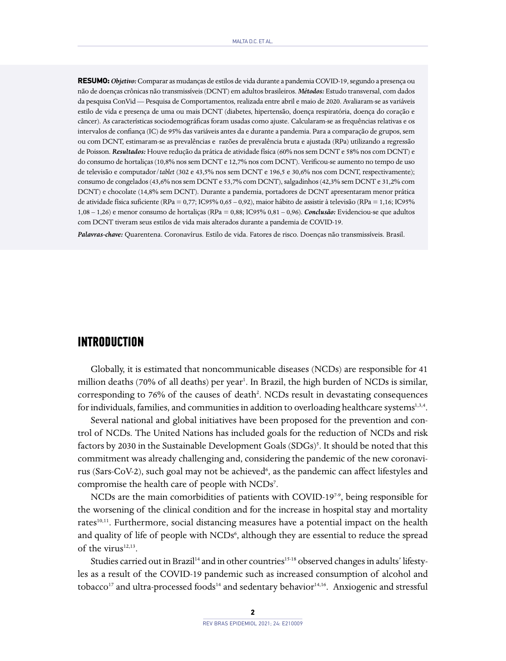**RESUMO:***Objetivo:* Comparar as mudanças de estilos de vida durante a pandemia COVID-19, segundo a presença ou não de doenças crônicas não transmissíveis (DCNT) em adultos brasileiros. *Métodos:* Estudo transversal, com dados da pesquisa ConVid — Pesquisa de Comportamentos, realizada entre abril e maio de 2020. Avaliaram-se as variáveis estilo de vida e presença de uma ou mais DCNT (diabetes, hipertensão, doença respiratória, doença do coração e câncer). As características sociodemográficas foram usadas como ajuste. Calcularam-se as frequências relativas e os intervalos de confiança (IC) de 95% das variáveis antes da e durante a pandemia. Para a comparação de grupos, sem ou com DCNT, estimaram-se as prevalências e razões de prevalência bruta e ajustada (RPa) utilizando a regressão de Poisson. *Resultados:* Houve redução da prática de atividade física (60% nos sem DCNT e 58% nos com DCNT) e do consumo de hortaliças (10,8% nos sem DCNT e 12,7% nos com DCNT). Verificou-se aumento no tempo de uso de televisão e computador/*tablet* (302 e 43,5% nos sem DCNT e 196,5 e 30,6% nos com DCNT, respectivamente); consumo de congelados (43,6% nos sem DCNT e 53,7% com DCNT), salgadinhos (42,3% sem DCNT e 31,2% com DCNT) e chocolate (14,8% sem DCNT). Durante a pandemia, portadores de DCNT apresentaram menor prática de atividade física suficiente (RPa = 0,77; IC95% 0,65 – 0,92), maior hábito de assistir à televisão (RPa = 1,16; IC95% 1,08 – 1,26) e menor consumo de hortaliças (RPa = 0,88; IC95% 0,81 – 0,96). *Conclusão:* Evidenciou-se que adultos com DCNT tiveram seus estilos de vida mais alterados durante a pandemia de COVID-19.

*Palavras-chave:* Quarentena. Coronavírus. Estilo de vida. Fatores de risco. Doenças não transmissíveis. Brasil.

#### **INTRODUCTION**

Globally, it is estimated that noncommunicable diseases (NCDs) are responsible for 41 million deaths (70% of all deaths) per year<sup>1</sup>. In Brazil, the high burden of NCDs is similar, corresponding to 76% of the causes of death<sup>2</sup>. NCDs result in devastating consequences for individuals, families, and communities in addition to overloading healthcare systems<sup>1,3,4</sup>.

Several national and global initiatives have been proposed for the prevention and control of NCDs. The United Nations has included goals for the reduction of NCDs and risk factors by 2030 in the Sustainable Development Goals (SDGs)<sup>5</sup>. It should be noted that this commitment was already challenging and, considering the pandemic of the new coronavirus (Sars-CoV-2), such goal may not be achieved<sup>6</sup>, as the pandemic can affect lifestyles and compromise the health care of people with NCDs<sup>7</sup>.

NCDs are the main comorbidities of patients with COVID-19<sup>79</sup>, being responsible for the worsening of the clinical condition and for the increase in hospital stay and mortality rates<sup>10,11</sup>. Furthermore, social distancing measures have a potential impact on the health and quality of life of people with NCDs<sup>6</sup>, although they are essential to reduce the spread of the virus $12,13$ .

Studies carried out in Brazil<sup>14</sup> and in other countries<sup>15-18</sup> observed changes in adults' lifestyles as a result of the COVID-19 pandemic such as increased consumption of alcohol and tobacco<sup>17</sup> and ultra-processed foods<sup>14</sup> and sedentary behavior<sup>14,16</sup>. Anxiogenic and stressful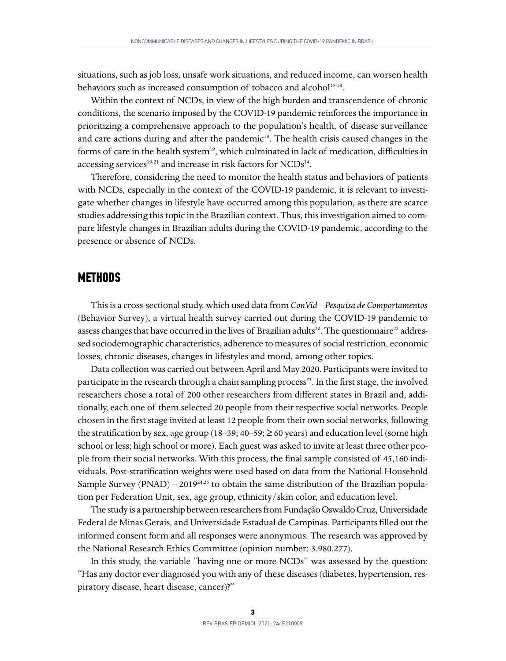situations, such as job loss, unsafe work situations, and reduced income, can worsen health behaviors such as increased consumption of tobacco and alcohol<sup>15-18</sup>.

Within the context of NCDs, in view of the high burden and transcendence of chronic conditions, the scenario imposed by the COVID-19 pandemic reinforces the importance in prioritizing a comprehensive approach to the population's health, of disease surveillance and care actions during and after the pandemic<sup>18</sup>. The health crisis caused changes in the forms of care in the health system<sup>19</sup>, which culminated in lack of medication, difficulties in accessing services<sup>19-21</sup> and increase in risk factors for NCDs<sup>14</sup>.

Therefore, considering the need to monitor the health status and behaviors of patients with NCDs, especially in the context of the COVID-19 pandemic, it is relevant to investigate whether changes in lifestyle have occurred among this population, as there are scarce studies addressing this topic in the Brazilian context. Thus, this investigation aimed to compare lifestyle changes in Brazilian adults during the COVID-19 pandemic, according to the presence or absence of NCDs.

#### **METHODS**

This is a cross-sectional study, which used data from *ConVid – Pesquisa de Comportamentos*  (Behavior Survey), a virtual health survey carried out during the COVID-19 pandemic to assess changes that have occurred in the lives of Brazilian adults<sup>22</sup>. The questionnaire<sup>22</sup> addressed sociodemographic characteristics, adherence to measures of social restriction, economic losses, chronic diseases, changes in lifestyles and mood, among other topics.

Data collection was carried out between April and May 2020. Participants were invited to participate in the research through a chain sampling process<sup>23</sup>. In the first stage, the involved researchers chose a total of 200 other researchers from different states in Brazil and, additionally, each one of them selected 20 people from their respective social networks. People chosen in the first stage invited at least 12 people from their own social networks, following the stratification by sex, age group (18–39; 40–59;  $\geq$  60 years) and education level (some high school or less; high school or more). Each guest was asked to invite at least three other people from their social networks. With this process, the final sample consisted of 45,160 individuals. Post-stratification weights were used based on data from the National Household Sample Survey (PNAD) –  $2019^{24,25}$  to obtain the same distribution of the Brazilian population per Federation Unit, sex, age group, ethnicity/skin color, and education level.

The study is a partnership between researchers from Fundação Oswaldo Cruz, Universidade Federal de Minas Gerais, and Universidade Estadual de Campinas. Participants filled out the informed consent form and all responses were anonymous. The research was approved by the National Research Ethics Committee (opinion number: 3.980.277).

In this study, the variable "having one or more NCDs" was assessed by the question: "Has any doctor ever diagnosed you with any of these diseases (diabetes, hypertension, respiratory disease, heart disease, cancer)?"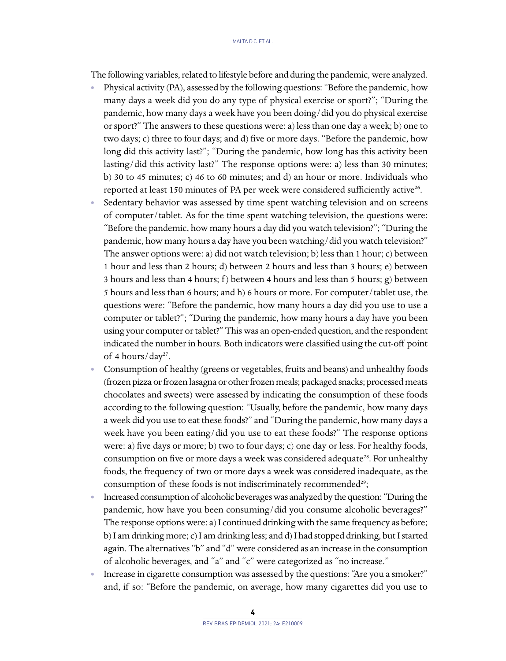The following variables, related to lifestyle before and during the pandemic, were analyzed.

- **•** Physical activity (PA), assessed by the following questions: "Before the pandemic, how many days a week did you do any type of physical exercise or sport?"; "During the pandemic, how many days a week have you been doing/did you do physical exercise or sport?" The answers to these questions were: a) less than one day a week; b) one to two days; c) three to four days; and d) five or more days. "Before the pandemic, how long did this activity last?"; "During the pandemic, how long has this activity been lasting/did this activity last?" The response options were: a) less than 30 minutes; b) 30 to 45 minutes; c) 46 to 60 minutes; and d) an hour or more. Individuals who reported at least 150 minutes of PA per week were considered sufficiently active<sup>26</sup>.
- **•** Sedentary behavior was assessed by time spent watching television and on screens of computer/tablet. As for the time spent watching television, the questions were: "Before the pandemic, how many hours a day did you watch television?"; "During the pandemic, how many hours a day have you been watching/did you watch television?" The answer options were: a) did not watch television; b) less than 1 hour; c) between 1 hour and less than 2 hours; d) between 2 hours and less than 3 hours; e) between 3 hours and less than 4 hours; f) between 4 hours and less than 5 hours; g) between 5 hours and less than 6 hours; and h) 6 hours or more. For computer/tablet use, the questions were: "Before the pandemic, how many hours a day did you use to use a computer or tablet?"; "During the pandemic, how many hours a day have you been using your computer or tablet?" This was an open-ended question, and the respondent indicated the number in hours. Both indicators were classified using the cut-off point of 4 hours/ $day^{27}$ .
- **•** Consumption of healthy (greens or vegetables, fruits and beans) and unhealthy foods (frozen pizza or frozen lasagna or other frozen meals; packaged snacks; processed meats chocolates and sweets) were assessed by indicating the consumption of these foods according to the following question: "Usually, before the pandemic, how many days a week did you use to eat these foods?" and "During the pandemic, how many days a week have you been eating/did you use to eat these foods?" The response options were: a) five days or more; b) two to four days; c) one day or less. For healthy foods, consumption on five or more days a week was considered adequate<sup>28</sup>. For unhealthy foods, the frequency of two or more days a week was considered inadequate, as the consumption of these foods is not indiscriminately recommended<sup>29</sup>;
- **•** Increased consumption of alcoholic beverages was analyzed by the question: "During the pandemic, how have you been consuming/did you consume alcoholic beverages?" The response options were: a) I continued drinking with the same frequency as before; b) I am drinking more; c) I am drinking less; and d) I had stopped drinking, but I started again. The alternatives "b" and "d" were considered as an increase in the consumption of alcoholic beverages, and "a" and "c" were categorized as "no increase."
- **•** Increase in cigarette consumption was assessed by the questions: "Are you a smoker?" and, if so: "Before the pandemic, on average, how many cigarettes did you use to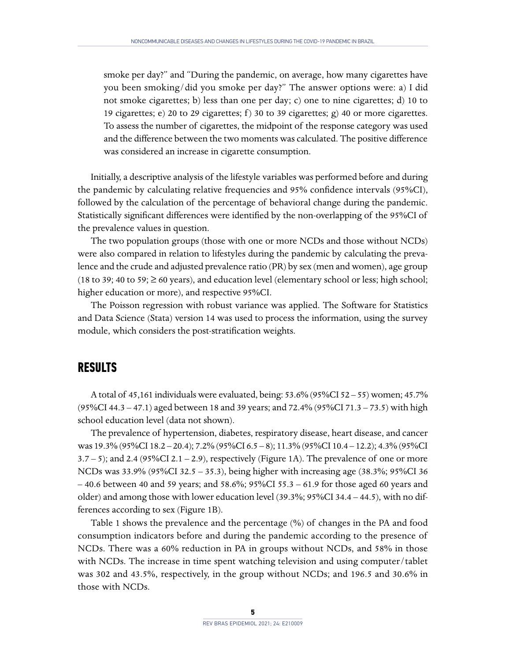smoke per day?" and "During the pandemic, on average, how many cigarettes have you been smoking/did you smoke per day?" The answer options were: a) I did not smoke cigarettes; b) less than one per day; c) one to nine cigarettes; d) 10 to 19 cigarettes; e) 20 to 29 cigarettes; f) 30 to 39 cigarettes; g) 40 or more cigarettes. To assess the number of cigarettes, the midpoint of the response category was used and the difference between the two moments was calculated. The positive difference was considered an increase in cigarette consumption.

Initially, a descriptive analysis of the lifestyle variables was performed before and during the pandemic by calculating relative frequencies and 95% confidence intervals (95%CI), followed by the calculation of the percentage of behavioral change during the pandemic. Statistically significant differences were identified by the non-overlapping of the 95%CI of the prevalence values in question.

The two population groups (those with one or more NCDs and those without NCDs) were also compared in relation to lifestyles during the pandemic by calculating the prevalence and the crude and adjusted prevalence ratio (PR) by sex (men and women), age group (18 to 39; 40 to 59;  $\geq$  60 years), and education level (elementary school or less; high school; higher education or more), and respective 95%CI.

The Poisson regression with robust variance was applied. The Software for Statistics and Data Science (Stata) version 14 was used to process the information, using the survey module, which considers the post-stratification weights.

## **RESULTS**

A total of 45,161 individuals were evaluated, being: 53.6% (95%CI 52 – 55) women; 45.7% (95%CI 44.3 – 47.1) aged between 18 and 39 years; and 72.4% (95%CI 71.3 – 73.5) with high school education level (data not shown).

The prevalence of hypertension, diabetes, respiratory disease, heart disease, and cancer was 19.3% (95%CI 18.2 – 20.4); 7.2% (95%CI 6.5 – 8); 11.3% (95%CI 10.4 – 12.2); 4.3% (95%CI  $3.7 - 5$ ); and  $2.4$  (95%CI 2.1 – 2.9), respectively (Figure 1A). The prevalence of one or more NCDs was 33.9% (95%CI 32.5 – 35.3), being higher with increasing age (38.3%; 95%CI 36 – 40.6 between 40 and 59 years; and 58.6%; 95%CI 55.3 – 61.9 for those aged 60 years and older) and among those with lower education level (39.3%; 95%CI 34.4 – 44.5), with no differences according to sex (Figure 1B).

Table 1 shows the prevalence and the percentage (%) of changes in the PA and food consumption indicators before and during the pandemic according to the presence of NCDs. There was a 60% reduction in PA in groups without NCDs, and 58% in those with NCDs. The increase in time spent watching television and using computer/tablet was 302 and 43.5%, respectively, in the group without NCDs; and 196.5 and 30.6% in those with NCDs.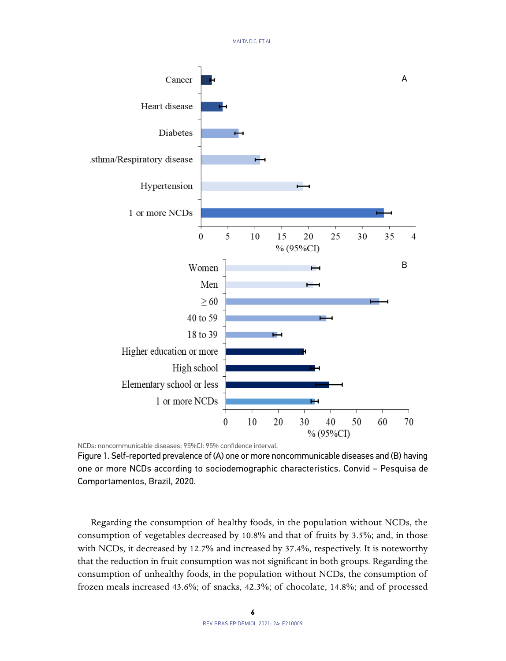

NCDs: noncommunicable diseases; 95%CI: 95% confidence interval.

Figure 1. Self-reported prevalence of (A) one or more noncommunicable diseases and (B) having one or more NCDs according to sociodemographic characteristics. Convid – Pesquisa de Comportamentos, Brazil, 2020.

Regarding the consumption of healthy foods, in the population without NCDs, the consumption of vegetables decreased by 10.8% and that of fruits by 3.5%; and, in those with NCDs, it decreased by 12.7% and increased by 37.4%, respectively. It is noteworthy that the reduction in fruit consumption was not significant in both groups. Regarding the consumption of unhealthy foods, in the population without NCDs, the consumption of frozen meals increased 43.6%; of snacks, 42.3%; of chocolate, 14.8%; and of processed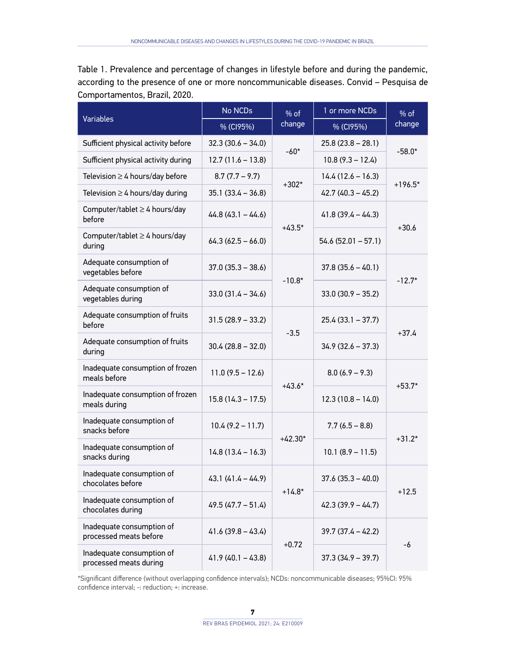Table 1. Prevalence and percentage of changes in lifestyle before and during the pandemic, according to the presence of one or more noncommunicable diseases. Convid – Pesquisa de Comportamentos, Brazil, 2020.

| <b>Variables</b>                                    | No NCDs<br>$%$ of   |                                | 1 or more NCDs       | $%$ of    |
|-----------------------------------------------------|---------------------|--------------------------------|----------------------|-----------|
|                                                     | % (CI95%)           | change                         | % (CI95%)            | change    |
| Sufficient physical activity before                 | $32.3(30.6 - 34.0)$ |                                | $25.8(23.8 - 28.1)$  | $-58.0*$  |
| Sufficient physical activity during                 | $12.7(11.6 - 13.8)$ | $-60*$                         | $10.8(9.3 - 12.4)$   |           |
| Television $\geq 4$ hours/day before                | $8.7(7.7 - 9.7)$    |                                | $14.4(12.6 - 16.3)$  |           |
| Television $\geq 4$ hours/day during                | $35.1(33.4 - 36.8)$ | $+302*$<br>$42.7(40.3 - 45.2)$ |                      | $+196.5*$ |
| Computer/tablet $\geq 4$ hours/day<br>before        | $44.8(43.1 - 44.6)$ | $+43.5*$                       | $41.8(39.4 - 44.3)$  | $+30.6$   |
| Computer/tablet $\geq 4$ hours/day<br>during        | $64.3(62.5 - 66.0)$ |                                | $54.6(52.01 - 57.1)$ |           |
| Adequate consumption of<br>vegetables before        | $37.0(35.3 - 38.6)$ |                                | $37.8(35.6 - 40.1)$  | $-12.7*$  |
| Adequate consumption of<br>vegetables during        | $33.0(31.4 - 34.6)$ | $-10.8*$                       | $33.0(30.9 - 35.2)$  |           |
| Adequate consumption of fruits<br>before            | $31.5(28.9 - 33.2)$ | $-3.5$                         | $25.4(33.1 - 37.7)$  | $+37.4$   |
| Adequate consumption of fruits<br>during            | 30.4 (28.8 – 32.0)  |                                | $34.9(32.6 - 37.3)$  |           |
| Inadequate consumption of frozen<br>meals before    | $11.0(9.5 - 12.6)$  | $+43.6*$                       | $8.0(6.9 - 9.3)$     | $+53.7*$  |
| Inadequate consumption of frozen<br>meals during    | $15.8(14.3 - 17.5)$ |                                | $12.3(10.8 - 14.0)$  |           |
| Inadequate consumption of<br>snacks before          | $10.4(9.2 - 11.7)$  | $+42.30*$                      | $7.7(6.5 - 8.8)$     | $+31.2*$  |
| Inadequate consumption of<br>snacks during          | $14.8(13.4 - 16.3)$ |                                | $10.1 (8.9 - 11.5)$  |           |
| Inadequate consumption of<br>chocolates before      | $43.1(41.4 - 44.9)$ | $+14.8*$                       | $37.6(35.3 - 40.0)$  | $+12.5$   |
| Inadequate consumption of<br>chocolates during      | $49.5(47.7 - 51.4)$ |                                | $42.3(39.9 - 44.7)$  |           |
| Inadequate consumption of<br>processed meats before | $41.6(39.8 - 43.4)$ |                                | $39.7(37.4 - 42.2)$  | -6        |
| Inadequate consumption of<br>processed meats during | $41.9(40.1 - 43.8)$ | $+0.72$                        | $37.3(34.9 - 39.7)$  |           |

\*Significant difference (without overlapping confidence intervals); NCDs: noncommunicable diseases; 95%CI: 95% confidence interval; -: reduction; +: increase.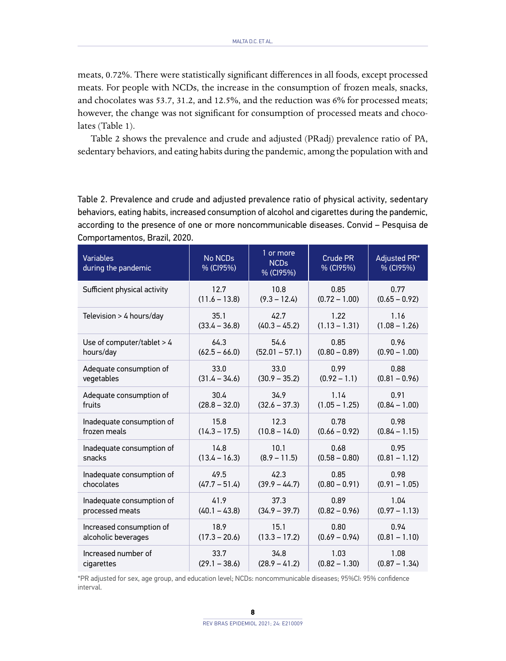meats, 0.72%. There were statistically significant differences in all foods, except processed meats. For people with NCDs, the increase in the consumption of frozen meals, snacks, and chocolates was 53.7, 31.2, and 12.5%, and the reduction was 6% for processed meats; however, the change was not significant for consumption of processed meats and chocolates (Table 1).

Table 2 shows the prevalence and crude and adjusted (PRadj) prevalence ratio of PA, sedentary behaviors, and eating habits during the pandemic, among the population with and

Table 2. Prevalence and crude and adjusted prevalence ratio of physical activity, sedentary behaviors, eating habits, increased consumption of alcohol and cigarettes during the pandemic, according to the presence of one or more noncommunicable diseases. Convid – Pesquisa de Comportamentos, Brazil, 2020.

| <b>Variables</b><br>during the pandemic | <b>No NCDs</b><br>% (CI95%) | 1 or more<br><b>NCDs</b><br>% (CI95%) | Crude PR<br>% (CI95%) | Adjusted PR*<br>% (CI95%) |
|-----------------------------------------|-----------------------------|---------------------------------------|-----------------------|---------------------------|
| Sufficient physical activity            | 12.7                        | 10.8                                  | 0.85                  | 0.77                      |
|                                         | $(11.6 - 13.8)$             | $(9.3 - 12.4)$                        | $(0.72 - 1.00)$       | $(0.65 - 0.92)$           |
| Television $> 4$ hours/day              | 35.1                        | 42.7                                  | 1.22                  | 1.16                      |
|                                         | $(33.4 - 36.8)$             | $(40.3 - 45.2)$                       | $(1.13 - 1.31)$       | $(1.08 - 1.26)$           |
| Use of computer/tablet $> 4$            | 64.3                        | 54.6                                  | 0.85                  | 0.96                      |
| hours/day                               | $(62.5 - 66.0)$             | $(52.01 - 57.1)$                      | $(0.80 - 0.89)$       | $(0.90 - 1.00)$           |
| Adequate consumption of                 | 33.0                        | 33.0                                  | 0.99                  | 0.88                      |
| vegetables                              | $(31.4 - 34.6)$             | $(30.9 - 35.2)$                       | $(0.92 - 1.1)$        | $(0.81 - 0.96)$           |
| Adequate consumption of                 | 30.4                        | 34.9                                  | 1.14                  | 0.91                      |
| fruits                                  | $(28.8 - 32.0)$             | $(32.6 - 37.3)$                       | $(1.05 - 1.25)$       | $(0.84 - 1.00)$           |
| Inadequate consumption of               | 15.8                        | 12.3                                  | 0.78                  | 0.98                      |
| frozen meals                            | $(14.3 - 17.5)$             | $(10.8 - 14.0)$                       | $(0.66 - 0.92)$       | $(0.84 - 1.15)$           |
| Inadequate consumption of               | 14.8                        | 10.1                                  | 0.68                  | 0.95                      |
| snacks                                  | $(13.4 - 16.3)$             | $(8.9 - 11.5)$                        | $(0.58 - 0.80)$       | $(0.81 - 1.12)$           |
| Inadequate consumption of               | 49.5                        | 42.3                                  | 0.85                  | 0.98                      |
| chocolates                              | $(47.7 - 51.4)$             | $(39.9 - 44.7)$                       | $(0.80 - 0.91)$       | $(0.91 - 1.05)$           |
| Inadequate consumption of               | 41.9                        | 37.3                                  | 0.89                  | 1.04                      |
| processed meats                         | $(40.1 - 43.8)$             | $(34.9 - 39.7)$                       | $(0.82 - 0.96)$       | $(0.97 - 1.13)$           |
| Increased consumption of                | 18.9                        | 15.1                                  | 0.80                  | 0.94                      |
| alcoholic beverages                     | $(17.3 - 20.6)$             | $(13.3 - 17.2)$                       | $(0.69 - 0.94)$       | $(0.81 - 1.10)$           |
| Increased number of                     | 33.7                        | 34.8                                  | 1.03                  | 1.08                      |
| cigarettes                              | $(29.1 - 38.6)$             | $(28.9 - 41.2)$                       | $(0.82 - 1.30)$       | $(0.87 - 1.34)$           |

\*PR adjusted for sex, age group, and education level; NCDs: noncommunicable diseases; 95%CI: 95% confidence interval.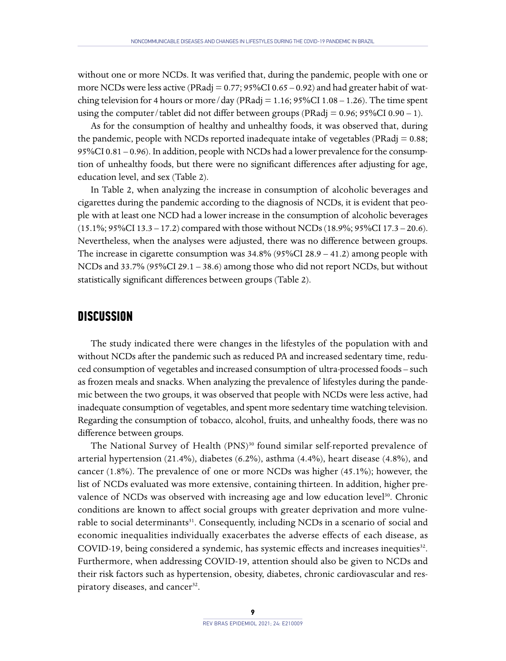without one or more NCDs. It was verified that, during the pandemic, people with one or more NCDs were less active (PRadj =  $0.77$ ; 95%CI  $0.65 - 0.92$ ) and had greater habit of watching television for 4 hours or more/day (PRadj =  $1.16$ ; 95%CI 1.08 – 1.26). The time spent using the computer/tablet did not differ between groups (PRadj =  $0.96$ ; 95%CI 0.90 – 1).

As for the consumption of healthy and unhealthy foods, it was observed that, during the pandemic, people with NCDs reported inadequate intake of vegetables (PRadj = 0.88; 95%CI 0.81 – 0.96). In addition, people with NCDs had a lower prevalence for the consumption of unhealthy foods, but there were no significant differences after adjusting for age, education level, and sex (Table 2).

In Table 2, when analyzing the increase in consumption of alcoholic beverages and cigarettes during the pandemic according to the diagnosis of NCDs, it is evident that people with at least one NCD had a lower increase in the consumption of alcoholic beverages (15.1%; 95%CI 13.3 – 17.2) compared with those without NCDs (18.9%; 95%CI 17.3 – 20.6). Nevertheless, when the analyses were adjusted, there was no difference between groups. The increase in cigarette consumption was 34.8% (95%CI 28.9 – 41.2) among people with NCDs and 33.7% (95%CI 29.1 – 38.6) among those who did not report NCDs, but without statistically significant differences between groups (Table 2).

#### **DISCUSSION**

The study indicated there were changes in the lifestyles of the population with and without NCDs after the pandemic such as reduced PA and increased sedentary time, reduced consumption of vegetables and increased consumption of ultra-processed foods – such as frozen meals and snacks. When analyzing the prevalence of lifestyles during the pandemic between the two groups, it was observed that people with NCDs were less active, had inadequate consumption of vegetables, and spent more sedentary time watching television. Regarding the consumption of tobacco, alcohol, fruits, and unhealthy foods, there was no difference between groups.

The National Survey of Health (PNS)<sup>30</sup> found similar self-reported prevalence of arterial hypertension (21.4%), diabetes (6.2%), asthma (4.4%), heart disease (4.8%), and cancer (1.8%). The prevalence of one or more NCDs was higher (45.1%); however, the list of NCDs evaluated was more extensive, containing thirteen. In addition, higher prevalence of NCDs was observed with increasing age and low education level $30$ . Chronic conditions are known to affect social groups with greater deprivation and more vulnerable to social determinants<sup>31</sup>. Consequently, including NCDs in a scenario of social and economic inequalities individually exacerbates the adverse effects of each disease, as COVID-19, being considered a syndemic, has systemic effects and increases inequities<sup>32</sup>. Furthermore, when addressing COVID-19, attention should also be given to NCDs and their risk factors such as hypertension, obesity, diabetes, chronic cardiovascular and respiratory diseases, and cancer<sup>32</sup>.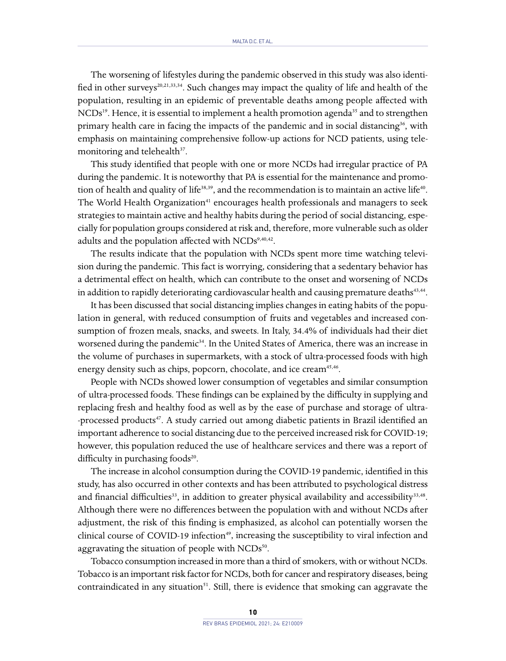The worsening of lifestyles during the pandemic observed in this study was also identified in other surveys<sup>20,21,33,34</sup>. Such changes may impact the quality of life and health of the population, resulting in an epidemic of preventable deaths among people affected with  $NCDs<sup>19</sup>$ . Hence, it is essential to implement a health promotion agenda<sup>35</sup> and to strengthen primary health care in facing the impacts of the pandemic and in social distancing<sup>36</sup>, with emphasis on maintaining comprehensive follow-up actions for NCD patients, using telemonitoring and telehealth<sup>37</sup>.

This study identified that people with one or more NCDs had irregular practice of PA during the pandemic. It is noteworthy that PA is essential for the maintenance and promotion of health and quality of life<sup>38,39</sup>, and the recommendation is to maintain an active life<sup>40</sup>. The World Health Organization<sup>41</sup> encourages health professionals and managers to seek strategies to maintain active and healthy habits during the period of social distancing, especially for population groups considered at risk and, therefore, more vulnerable such as older adults and the population affected with  $NCDs^{9,40,42}$ .

The results indicate that the population with NCDs spent more time watching television during the pandemic. This fact is worrying, considering that a sedentary behavior has a detrimental effect on health, which can contribute to the onset and worsening of NCDs in addition to rapidly deteriorating cardiovascular health and causing premature deaths $43,44$ .

It has been discussed that social distancing implies changes in eating habits of the population in general, with reduced consumption of fruits and vegetables and increased consumption of frozen meals, snacks, and sweets. In Italy, 34.4% of individuals had their diet worsened during the pandemic<sup>34</sup>. In the United States of America, there was an increase in the volume of purchases in supermarkets, with a stock of ultra-processed foods with high energy density such as chips, popcorn, chocolate, and ice cream<sup>45,46</sup>.

People with NCDs showed lower consumption of vegetables and similar consumption of ultra-processed foods. These findings can be explained by the difficulty in supplying and replacing fresh and healthy food as well as by the ease of purchase and storage of ultra- -processed products<sup>47</sup>. A study carried out among diabetic patients in Brazil identified an important adherence to social distancing due to the perceived increased risk for COVID-19; however, this population reduced the use of healthcare services and there was a report of difficulty in purchasing foods<sup>20</sup>.

The increase in alcohol consumption during the COVID-19 pandemic, identified in this study, has also occurred in other contexts and has been attributed to psychological distress and financial difficulties<sup>33</sup>, in addition to greater physical availability and accessibility<sup>33,48</sup>. Although there were no differences between the population with and without NCDs after adjustment, the risk of this finding is emphasized, as alcohol can potentially worsen the clinical course of COVID-19 infection<sup>49</sup>, increasing the susceptibility to viral infection and aggravating the situation of people with  $NCDs^{50}$ .

Tobacco consumption increased in more than a third of smokers, with or without NCDs. Tobacco is an important risk factor for NCDs, both for cancer and respiratory diseases, being contraindicated in any situation $51$ . Still, there is evidence that smoking can aggravate the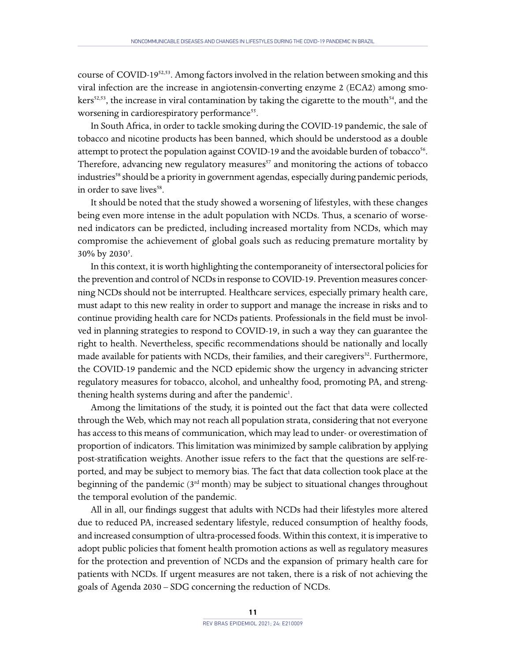course of COVID-1952,53. Among factors involved in the relation between smoking and this viral infection are the increase in angiotensin-converting enzyme 2 (ECA2) among smokers<sup>52,53</sup>, the increase in viral contamination by taking the cigarette to the mouth<sup>54</sup>, and the worsening in cardiorespiratory performance<sup>55</sup>.

In South Africa, in order to tackle smoking during the COVID-19 pandemic, the sale of tobacco and nicotine products has been banned, which should be understood as a double attempt to protect the population against COVID-19 and the avoidable burden of tobacco<sup>56</sup>. Therefore, advancing new regulatory measures $57$  and monitoring the actions of tobacco industries<sup>58</sup> should be a priority in government agendas, especially during pandemic periods, in order to save lives<sup>58</sup>.

It should be noted that the study showed a worsening of lifestyles, with these changes being even more intense in the adult population with NCDs. Thus, a scenario of worsened indicators can be predicted, including increased mortality from NCDs, which may compromise the achievement of global goals such as reducing premature mortality by 30% by 2030<sup>5</sup>.

In this context, it is worth highlighting the contemporaneity of intersectoral policies for the prevention and control of NCDs in response to COVID-19. Prevention measures concerning NCDs should not be interrupted. Healthcare services, especially primary health care, must adapt to this new reality in order to support and manage the increase in risks and to continue providing health care for NCDs patients. Professionals in the field must be involved in planning strategies to respond to COVID-19, in such a way they can guarantee the right to health. Nevertheless, specific recommendations should be nationally and locally made available for patients with NCDs, their families, and their caregivers<sup>32</sup>. Furthermore, the COVID-19 pandemic and the NCD epidemic show the urgency in advancing stricter regulatory measures for tobacco, alcohol, and unhealthy food, promoting PA, and strengthening health systems during and after the pandemic<sup>1</sup>.

Among the limitations of the study, it is pointed out the fact that data were collected through the Web, which may not reach all population strata, considering that not everyone has access to this means of communication, which may lead to under- or overestimation of proportion of indicators. This limitation was minimized by sample calibration by applying post-stratification weights. Another issue refers to the fact that the questions are self-reported, and may be subject to memory bias. The fact that data collection took place at the beginning of the pandemic ( $3<sup>rd</sup>$  month) may be subject to situational changes throughout the temporal evolution of the pandemic.

All in all, our findings suggest that adults with NCDs had their lifestyles more altered due to reduced PA, increased sedentary lifestyle, reduced consumption of healthy foods, and increased consumption of ultra-processed foods. Within this context, it is imperative to adopt public policies that foment health promotion actions as well as regulatory measures for the protection and prevention of NCDs and the expansion of primary health care for patients with NCDs. If urgent measures are not taken, there is a risk of not achieving the goals of Agenda 2030 – SDG concerning the reduction of NCDs.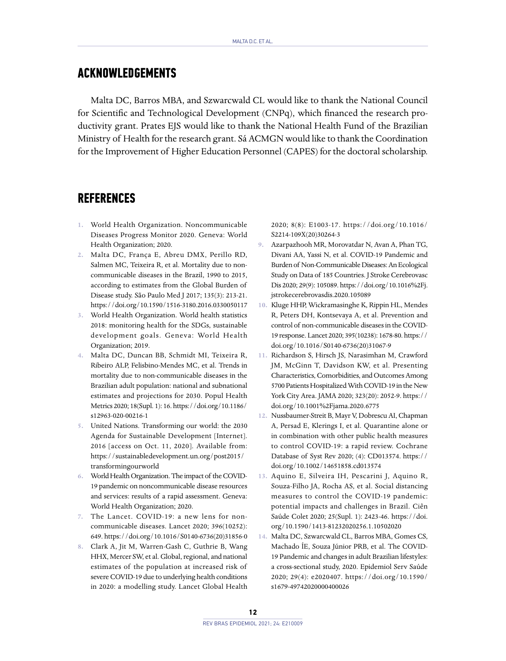### **ACKNOWLEDGEMENTS**

Malta DC, Barros MBA, and Szwarcwald CL would like to thank the National Council for Scientific and Technological Development (CNPq), which financed the research productivity grant. Prates EJS would like to thank the National Health Fund of the Brazilian Ministry of Health for the research grant. Sá ACMGN would like to thank the Coordination for the Improvement of Higher Education Personnel (CAPES) for the doctoral scholarship.

#### **REFERENCES**

- **1.** World Health Organization. Noncommunicable Diseases Progress Monitor 2020. Geneva: World Health Organization; 2020.
- **2.** Malta DC, França E, Abreu DMX, Perillo RD, Salmen MC, Teixeira R, et al. Mortality due to noncommunicable diseases in the Brazil, 1990 to 2015, according to estimates from the Global Burden of Disease study. São Paulo Med J 2017; 135(3): 213-21. <https://doi.org/10.1590/1516-3180.2016.0330050117>
- **3.** World Health Organization. World health statistics 2018: monitoring health for the SDGs, sustainable development goals. Geneva: World Health Organization; 2019.
- **4.** Malta DC, Duncan BB, Schmidt MI, Teixeira R, Ribeiro ALP, Felisbino-Mendes MC, et al. Trends in mortality due to non-communicable diseases in the Brazilian adult population: national and subnational estimates and projections for 2030. Popul Health Metrics 2020; 18(Supl. 1): 16. [https://doi.org/10.1186/](https://doi.org/10.1186/s12963-020-00216-1) [s12963-020-00216-1](https://doi.org/10.1186/s12963-020-00216-1)
- **5.** United Nations. Transforming our world: the 2030 Agenda for Sustainable Development [Internet]. 2016 [access on Oct. 11, 2020]. Available from: [https://sustainabledevelopment.un.org/post2015/](https://sustainabledevelopment.un.org/post2015/transformingourworld) [transformingourworld](https://sustainabledevelopment.un.org/post2015/transformingourworld)
- **6.** World Health Organization. The impact of the COVID-19 pandemic on noncommunicable disease resources and services: results of a rapid assessment. Geneva: World Health Organization; 2020.
- **7.** The Lancet. COVID-19: a new lens for noncommunicable diseases. Lancet 2020; 396(10252): 649. [https://doi.org/10.1016/S0140-6736\(20\)31856-0](https://doi.org/10.1016/S0140-6736(20)31856-0)
- **8.** Clark A, Jit M, Warren-Gash C, Guthrie B, Wang HHX, Mercer SW, et al. Global, regional, and national estimates of the population at increased risk of severe COVID-19 due to underlying health conditions in 2020: a modelling study. Lancet Global Health

2020; 8(8): E1003-17. [https://doi.org/10.1016/](https://doi.org/10.1016/S2214-109X(20)30264-3) [S2214-109X\(20\)30264-3](https://doi.org/10.1016/S2214-109X(20)30264-3)

- **9.** Azarpazhooh MR, Morovatdar N, Avan A, Phan TG, Divani AA, Yassi N, et al. COVID-19 Pandemic and Burden of Non-Communicable Diseases: An Ecological Study on Data of 185 Countries. J Stroke Cerebrovasc Dis 2020; 29(9): 105089. [https://doi.org/10.1016%2Fj.](https://doi.org/10.1016%2Fj.jstrokecerebrovasdis.2020.105089) [jstrokecerebrovasdis.2020.105089](https://doi.org/10.1016%2Fj.jstrokecerebrovasdis.2020.105089)
- **10.** Kluge HHP, Wickramasinghe K, Rippin HL, Mendes R, Peters DH, Kontsevaya A, et al. Prevention and control of non-communicable diseases in the COVID-19 response. Lancet 2020; 395(10238): 1678-80. [https://](https://doi.org/10.1016/S0140-6736(20)31067-9) [doi.org/10.1016/S0140-6736\(20\)31067-9](https://doi.org/10.1016/S0140-6736(20)31067-9)
- **11.** Richardson S, Hirsch JS, Narasimhan M, Crawford JM, McGinn T, Davidson KW, et al. Presenting Characteristics, Comorbidities, and Outcomes Among 5700 Patients Hospitalized With COVID-19 in the New York City Area. JAMA 2020; 323(20): 2052-9. [https://](https://doi.org/10.1001%2Fjama.2020.6775) [doi.org/10.1001%2Fjama.2020.6775](https://doi.org/10.1001%2Fjama.2020.6775)
- **12.** Nussbaumer-Streit B, Mayr V, Dobrescu AI, Chapman A, Persad E, Klerings I, et al. Quarantine alone or in combination with other public health measures to control COVID-19: a rapid review. Cochrane Database of Syst Rev 2020; (4): CD013574. [https://](https://doi.org/10.1002/14651858.cd013574) [doi.org/10.1002/14651858.cd013574](https://doi.org/10.1002/14651858.cd013574)
- **13.** Aquino E, Silveira IH, Pescarini J, Aquino R, Souza-Filho JA, Rocha AS, et al. Social distancing measures to control the COVID-19 pandemic: potential impacts and challenges in Brazil. Ciên Saúde Colet 2020; 25(Supl. 1): 2423-46. [https://doi.](https://doi.org/10.1590/1413-81232020256.1.10502020) [org/10.1590/1413-81232020256.1.10502020](https://doi.org/10.1590/1413-81232020256.1.10502020)
- **14.** Malta DC, Szwarcwald CL, Barros MBA, Gomes CS, Machado ÍE, Souza Júnior PRB, et al. The COVID-19 Pandemic and changes in adult Brazilian lifestyles: a cross-sectional study, 2020. Epidemiol Serv Saúde 2020; 29(4): e2020407. [https://doi.org/10.1590/](https://doi.org/10.1590/s1679-49742020000400026) [s1679-49742020000400026](https://doi.org/10.1590/s1679-49742020000400026)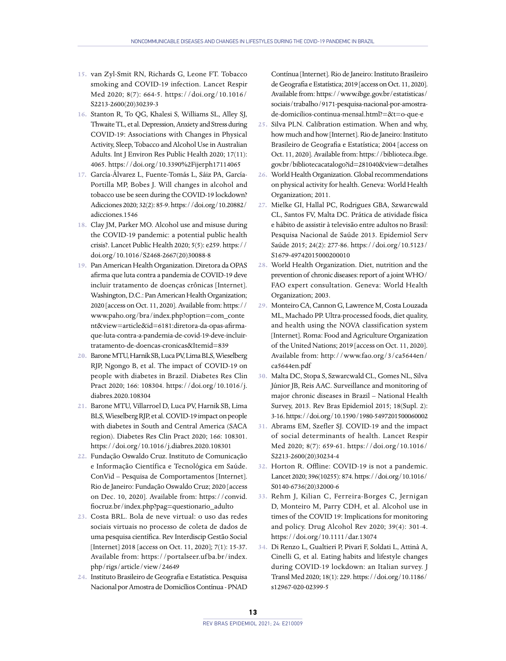- **15.** van Zyl-Smit RN, Richards G, Leone FT. Tobacco smoking and COVID-19 infection. Lancet Respir Med 2020; 8(7): 664-5. [https://doi.org/10.1016/](https://doi.org/10.1016/S2213-2600(20)30239-3) [S2213-2600\(20\)30239-3](https://doi.org/10.1016/S2213-2600(20)30239-3)
- **16.** Stanton R, To QG, Khalesi S, Williams SL, Alley SJ, Thwaite TL, et al. Depression, Anxiety and Stress during COVID-19: Associations with Changes in Physical Activity, Sleep, Tobacco and Alcohol Use in Australian Adults. Int J Environ Res Public Health 2020; 17(11): 4065.<https://doi.org/10.3390%2Fijerph17114065>
- **17.** García-Álvarez L, Fuente-Tomás L, Sáiz PA, García-Portilla MP, Bobes J. Will changes in alcohol and tobacco use be seen during the COVID-19 lockdown? Adicciones 2020; 32(2): 85-9. [https://doi.org/10.20882/](https://doi.org/10.20882/adicciones.1546) [adicciones.1546](https://doi.org/10.20882/adicciones.1546)
- **18.** Clay JM, Parker MO. Alcohol use and misuse during the COVID-19 pandemic: a potential public health crisis?. Lancet Public Health 2020; 5(5): e259. [https://](https://doi.org/10.1016/S2468-2667(20)30088-8) [doi.org/10.1016/S2468-2667\(20\)30088-8](https://doi.org/10.1016/S2468-2667(20)30088-8)
- **19.** Pan American Health Organization. Diretora da OPAS afirma que luta contra a pandemia de COVID-19 deve incluir tratamento de doenças crônicas [Internet]. Washington, D.C.: Pan American Health Organization; 2020 [access on Oct. 11, 2020]. Available from: [https://](https://www.paho.org/bra/index.php?option=com_content&view=article&id=6181) [www.paho.org/bra/index.php?option=com\\_conte](https://www.paho.org/bra/index.php?option=com_content&view=article&id=6181) [nt&view=article&id=6181](https://www.paho.org/bra/index.php?option=com_content&view=article&id=6181):diretora-da-opas-afirmaque-luta-contra-a-pandemia-de-covid-19-deve-incluirtratamento-de-doencas-cronicas&Itemid=839
- **20.** Barone MTU, Harnik SB, Luca PV, Lima BLS, Wieselberg RJP, Ngongo B, et al. The impact of COVID-19 on people with diabetes in Brazil. Diabetes Res Clin Pract 2020; 166: 108304. [https://doi.org/10.1016/j.](https://doi.org/10.1016/j.diabres.2020.108304) [diabres.2020.108304](https://doi.org/10.1016/j.diabres.2020.108304)
- **21.** Barone MTU, Villarroel D, Luca PV, Harnik SB, Lima BLS, Wieselberg RJP, et al. COVID-19 impact on people with diabetes in South and Central America (SACA region). Diabetes Res Clin Pract 2020; 166: 108301. <https://doi.org/10.1016/j.diabres.2020.108301>
- **22.** Fundação Oswaldo Cruz. Instituto de Comunicação e Informação Científica e Tecnológica em Saúde. ConVid – Pesquisa de Comportamentos [Internet]. Rio de Janeiro: Fundação Oswaldo Cruz; 2020 [access on Dec. 10, 2020]. Available from: [https://convid.](https://convid.fiocruz.br/index.php?pag=questionario_adulto) [fiocruz.br/index.php?pag=questionario\\_adulto](https://convid.fiocruz.br/index.php?pag=questionario_adulto)
- **23.** Costa BRL. Bola de neve virtual: o uso das redes sociais virtuais no processo de coleta de dados de uma pesquisa científica. Rev Interdiscip Gestão Social [Internet] 2018 [access on Oct. 11, 2020]; 7(1): 15-37. Available from: [https://portalseer.uf ba.br/index.](https://portalseer.ufba.br/index.php/rigs/article/view/24649) [php/rigs/article/view/24649](https://portalseer.ufba.br/index.php/rigs/article/view/24649)
- **24.** Instituto Brasileiro de Geografia e Estatística. Pesquisa Nacional por Amostra de Domicílios Contínua - PNAD

Contínua [Internet]. Rio de Janeiro: Instituto Brasileiro de Geografia e Estatística; 2019 [access on Oct. 11, 2020]. Available from: [https://www.ibge.gov.br/estatisticas/](https://www.ibge.gov.br/estatisticas/sociais/trabalho/9171-pesquisa-nacional-por-amostra-de-domicilios-continua-mensal.html?=&t=o-que-e) [sociais/trabalho/9171-pesquisa-nacional-por-amostra](https://www.ibge.gov.br/estatisticas/sociais/trabalho/9171-pesquisa-nacional-por-amostra-de-domicilios-continua-mensal.html?=&t=o-que-e)[de-domicilios-continua-mensal.html?=&t=o-que-e](https://www.ibge.gov.br/estatisticas/sociais/trabalho/9171-pesquisa-nacional-por-amostra-de-domicilios-continua-mensal.html?=&t=o-que-e)

- **25.** Silva PLN. Calibration estimation. When and why, how much and how [Internet]. Rio de Janeiro: Instituto Brasileiro de Geografia e Estatística; 2004 [access on Oct. 11, 2020]. Available from: [https://biblioteca.ibge.](https://biblioteca.ibge.gov.br/bibliotecacatalogo?id=281040&view=detalhes) [gov.br/bibliotecacatalogo?id=281040&view=detalhes](https://biblioteca.ibge.gov.br/bibliotecacatalogo?id=281040&view=detalhes)
- **26.** World Health Organization. Global recommendations on physical activity for health. Geneva: World Health Organization; 2011.
- **27.** Mielke GI, Hallal PC, Rodrigues GBA, Szwarcwald CL, Santos FV, Malta DC. Prática de atividade física e hábito de assistir à televisão entre adultos no Brasil: Pesquisa Nacional de Saúde 2013. Epidemiol Serv Saúde 2015; 24(2): 277-86. [https://doi.org/10.5123/](https://doi.org/10.5123/S1679-49742015000200010) [S1679-49742015000200010](https://doi.org/10.5123/S1679-49742015000200010)
- **28.** World Health Organization. Diet, nutrition and the prevention of chronic diseases: report of a joint WHO/ FAO expert consultation. Geneva: World Health Organization; 2003.
- **29.** Monteiro CA, Cannon G, Lawrence M, Costa Louzada ML, Machado PP. Ultra-processed foods, diet quality, and health using the NOVA classification system [Internet]. Roma: Food and Agriculture Organization of the United Nations; 2019 [access on Oct. 11, 2020]. Available from: [http://www.fao.org/3/ca5644en/](http://www.fao.org/3/ca5644en/ca5644en.pdf) [ca5644en.pdf](http://www.fao.org/3/ca5644en/ca5644en.pdf)
- **30.** Malta DC, Stopa S, Szwarcwald CL, Gomes NL, Silva Júnior JB, Reis AAC. Surveillance and monitoring of major chronic diseases in Brazil – National Health Survey, 2013. Rev Bras Epidemiol 2015; 18(Supl. 2): 3-16.<https://doi.org/10.1590/1980-5497201500060002>
- **31.** Abrams EM, Szefler SJ. COVID-19 and the impact of social determinants of health. Lancet Respir Med 2020; 8(7): 659-61. [https://doi.org/10.1016/](https://doi.org/10.1016/S2213-2600(20)30234-4) [S2213-2600\(20\)30234-4](https://doi.org/10.1016/S2213-2600(20)30234-4)
- **32.** Horton R. Offline: COVID-19 is not a pandemic. Lancet 2020; 396(10255): 874. [https://doi.org/10.1016/](https://doi.org/10.1016/S0140-6736(20)32000-6) [S0140-6736\(20\)32000-6](https://doi.org/10.1016/S0140-6736(20)32000-6)
- **33.** Rehm J, Kilian C, Ferreira-Borges C, Jernigan D, Monteiro M, Parry CDH, et al. Alcohol use in times of the COVID 19: Implications for monitoring and policy. Drug Alcohol Rev 2020; 39(4): 301-4. <https://doi.org/10.1111/dar.13074>
- **34.** Di Renzo L, Gualtieri P, Pivari F, Soldati L, Attinà A, Cinelli G, et al. Eating habits and lifestyle changes during COVID-19 lockdown: an Italian survey. J Transl Med 2020; 18(1): 229. [https://doi.org/10.1186/](https://doi.org/10.1186/s12967-020-02399-5) [s12967-020-02399-5](https://doi.org/10.1186/s12967-020-02399-5)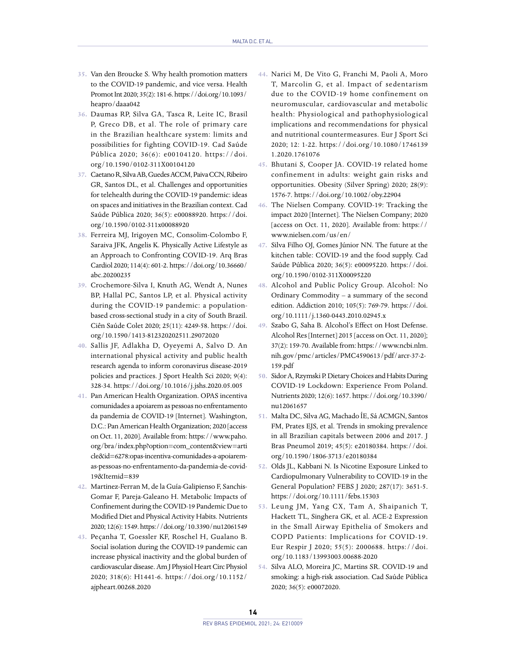- **35.** Van den Broucke S. Why health promotion matters to the COVID-19 pandemic, and vice versa. Health Promot Int 2020; 35(2): 181-6. [https://doi.org/10.1093/](https://doi.org/10.1093/heapro/daaa042) [heapro/daaa042](https://doi.org/10.1093/heapro/daaa042)
- **36.** Daumas RP, Silva GA, Tasca R, Leite IC, Brasil P, Greco DB, et al. The role of primary care in the Brazilian healthcare system: limits and possibilities for fighting COVID-19. Cad Saúde Pública 2020; 36(6): e00104120. [https://doi.](https://doi.org/10.1590/0102-311X00104120) [org/10.1590/0102-311X00104120](https://doi.org/10.1590/0102-311X00104120)
- **37.** Caetano R, Silva AB, Guedes ACCM, Paiva CCN, Ribeiro GR, Santos DL, et al. Challenges and opportunities for telehealth during the COVID-19 pandemic: ideas on spaces and initiatives in the Brazilian context. Cad Saúde Pública 2020; 36(5): e00088920. [https://doi.](https://doi.org/10.1590/0102-311x00088920) [org/10.1590/0102-311x00088920](https://doi.org/10.1590/0102-311x00088920)
- **38.** Ferreira MJ, Irigoyen MC, Consolim-Colombo F, Saraiva JFK, Angelis K. Physically Active Lifestyle as an Approach to Confronting COVID-19. Arq Bras Cardiol 2020; 114(4): 601-2. [https://doi.org/10.36660/](https://doi.org/10.36660/abc.20200235) [abc.20200235](https://doi.org/10.36660/abc.20200235)
- **39.** Crochemore-Silva I, Knuth AG, Wendt A, Nunes BP, Hallal PC, Santos LP, et al. Physical activity during the COVID-19 pandemic: a populationbased cross-sectional study in a city of South Brazil. Ciên Saúde Colet 2020; 25(11): 4249-58. [https://doi.](https://doi.org/10.1590/1413-812320202511.29072020) [org/10.1590/1413-812320202511.29072020](https://doi.org/10.1590/1413-812320202511.29072020)
- **40.** Sallis JF, Adlakha D, Oyeyemi A, Salvo D. An international physical activity and public health research agenda to inform coronavirus disease-2019 policies and practices. J Sport Health Sci 2020; 9(4): 328-34.<https://doi.org/10.1016/j.jshs.2020.05.005>
- **41.** Pan American Health Organization. OPAS incentiva comunidades a apoiarem as pessoas no enfrentamento da pandemia de COVID-19 [Internet]. Washington, D.C.: Pan American Health Organization; 2020 [access on Oct. 11, 2020]. Available from: [https://www.paho.](https://www.paho.org/bra/index.php?option=com_content&view=article&id=6278) [org/bra/index.php?option=com\\_content&view=arti](https://www.paho.org/bra/index.php?option=com_content&view=article&id=6278) [cle&id=6278](https://www.paho.org/bra/index.php?option=com_content&view=article&id=6278):opas-incentiva-comunidades-a-apoiaremas-pessoas-no-enfrentamento-da-pandemia-de-covid-19&Itemid=839
- **42.** Martinez-Ferran M, de la Guía-Galipienso F, Sanchis-Gomar F, Pareja-Galeano H. Metabolic Impacts of Confinement during the COVID-19 Pandemic Due to Modified Diet and Physical Activity Habits. Nutrients 2020; 12(6): 1549.<https://doi.org/10.3390/nu12061549>
- **43.** Peçanha T, Goessler KF, Roschel H, Gualano B. Social isolation during the COVID-19 pandemic can increase physical inactivity and the global burden of cardiovascular disease. Am J Physiol Heart Circ Physiol 2020; 318(6): H1441-6. [https://doi.org/10.1152/](https://doi.org/10.1152/ajpheart.00268.2020) [ajpheart.00268.2020](https://doi.org/10.1152/ajpheart.00268.2020)
- **44.** Narici M, De Vito G, Franchi M, Paoli A, Moro T, Marcolin G, et al. Impact of sedentarism due to the COVID-19 home confinement on neuromuscular, cardiovascular and metabolic health: Physiological and pathophysiological implications and recommendations for physical and nutritional countermeasures. Eur J Sport Sci 2020; 12: 1-22. [https://doi.org/10.1080/1746139](https://doi.org/10.1080/17461391.2020.1761076) [1.2020.1761076](https://doi.org/10.1080/17461391.2020.1761076)
- **45.** Bhutani S, Cooper JA. COVID-19 related home confinement in adults: weight gain risks and opportunities. Obesity (Silver Spring) 2020; 28(9): 1576-7. <https://doi.org/10.1002/oby.22904>
- **46.** The Nielsen Company. COVID-19: Tracking the impact 2020 [Internet]. The Nielsen Company; 2020 [access on Oct. 11, 2020]. Available from: [https://](https://www.nielsen.com/us/en/) [www.nielsen.com/us/en/](https://www.nielsen.com/us/en/)
- **47.** Silva Filho OJ, Gomes Júnior NN. The future at the kitchen table: COVID-19 and the food supply. Cad Saúde Pública 2020; 36(5): e00095220. [https://doi.](https://doi.org/10.1590/0102-311X00095220) [org/10.1590/0102-311X00095220](https://doi.org/10.1590/0102-311X00095220)
- **48.** Alcohol and Public Policy Group. Alcohol: No Ordinary Commodity – a summary of the second edition. Addiction 2010; 105(5): 769-79. [https://doi.](https://doi.org/10.1111/j.1360-0443.2010.02945.x) [org/10.1111/j.1360-0443.2010.02945.x](https://doi.org/10.1111/j.1360-0443.2010.02945.x)
- **49.** Szabo G, Saha B. Alcohol's Effect on Host Defense. Alcohol Res [Internet] 2015 [access on Oct. 11, 2020]; 37(2): 159-70. Available from: [https://www.ncbi.nlm.](https://www.ncbi.nlm.nih.gov/pmc/articles/PMC4590613/pdf/arcr-37-2-159.pdf) [nih.gov/pmc/articles/PMC4590613/pdf/arcr-37-2-](https://www.ncbi.nlm.nih.gov/pmc/articles/PMC4590613/pdf/arcr-37-2-159.pdf) [159.pdf](https://www.ncbi.nlm.nih.gov/pmc/articles/PMC4590613/pdf/arcr-37-2-159.pdf)
- **50.** Sidor A, Rzymski P. Dietary Choices and Habits During COVID-19 Lockdown: Experience From Poland. Nutrients 2020; 12(6): 1657. [https://doi.org/10.3390/](https://doi.org/10.3390/nu12061657) [nu12061657](https://doi.org/10.3390/nu12061657)
- **51.** Malta DC, Silva AG, Machado ÍE, Sá ACMGN, Santos FM, Prates EJS, et al. Trends in smoking prevalence in all Brazilian capitals between 2006 and 2017. J Bras Pneumol 2019; 45(5): e20180384. [https://doi.](https://doi.org/10.1590/1806-3713/e20180384) [org/10.1590/1806-3713/e20180384](https://doi.org/10.1590/1806-3713/e20180384)
- **52.** Olds JL, Kabbani N. Is Nicotine Exposure Linked to Cardiopulmonary Vulnerability to COVID-19 in the General Population? FEBS J 2020; 287(17): 3651-5. <https://doi.org/10.1111/febs.15303>
- **53.** Leung JM, Yang CX, Tam A, Shaipanich T, Hackett TL, Singhera GK, et al. ACE-2 Expression in the Small Airway Epithelia of Smokers and COPD Patients: Implications for COVID-19. Eur Respir J 2020; 55(5): 2000688. [https://doi.](https://doi.org/10.1183/13993003.00688-2020) [org/10.1183/13993003.00688-2020](https://doi.org/10.1183/13993003.00688-2020)
- **54.** Silva ALO, Moreira JC, Martins SR. COVID-19 and smoking: a high-risk association. Cad Saúde Pública 2020; 36(5): e00072020.